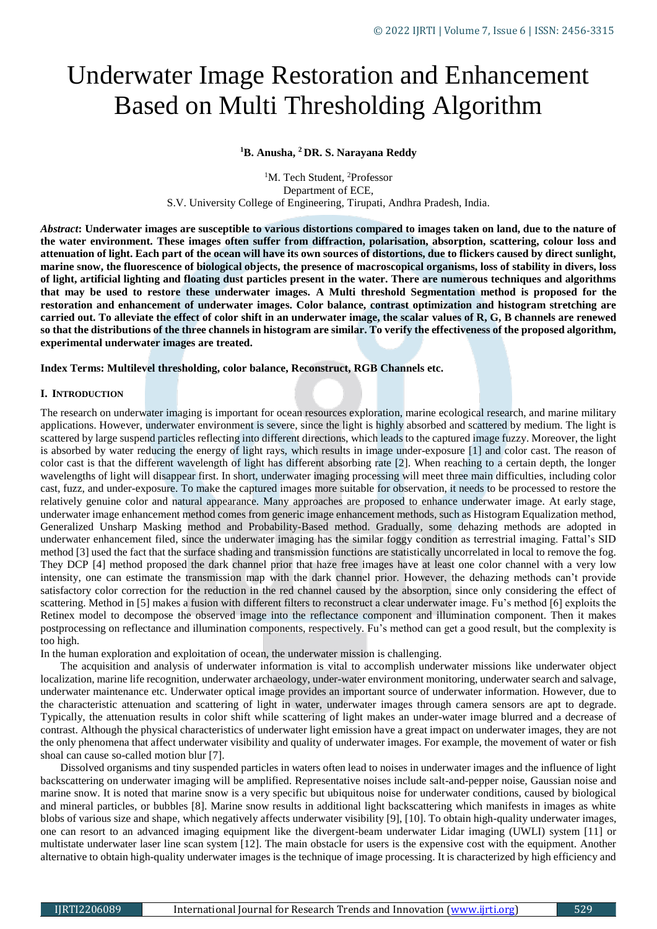# Underwater Image Restoration and Enhancement Based on Multi Thresholding Algorithm

**<sup>1</sup>B. Anusha, <sup>2</sup> DR. S. Narayana Reddy**

<sup>1</sup>M. Tech Student, <sup>2</sup>Professor Department of ECE, S.V. University College of Engineering, Tirupati, Andhra Pradesh, India.

*Abstract***: Underwater images are susceptible to various distortions compared to images taken on land, due to the nature of the water environment. These images often suffer from diffraction, polarisation, absorption, scattering, colour loss and attenuation of light. Each part of the ocean will have its own sources of distortions, due to flickers caused by direct sunlight, marine snow, the fluorescence of biological objects, the presence of macroscopical organisms, loss of stability in divers, loss of light, artificial lighting and floating dust particles present in the water. There are numerous techniques and algorithms that may be used to restore these underwater images. A Multi threshold Segmentation method is proposed for the restoration and enhancement of underwater images. Color balance, contrast optimization and histogram stretching are carried out. To alleviate the effect of color shift in an underwater image, the scalar values of R, G, B channels are renewed so that the distributions of the three channels in histogram are similar. To verify the effectiveness of the proposed algorithm, experimental underwater images are treated.**

**Index Terms: Multilevel thresholding, color balance, Reconstruct, RGB Channels etc.**

# **I. INTRODUCTION**

The research on underwater imaging is important for ocean resources exploration, marine ecological research, and marine military applications. However, underwater environment is severe, since the light is highly absorbed and scattered by medium. The light is scattered by large suspend particles reflecting into different directions, which leads to the captured image fuzzy. Moreover, the light is absorbed by water reducing the energy of light rays, which results in image under-exposure [1] and color cast. The reason of color cast is that the different wavelength of light has different absorbing rate [2]. When reaching to a certain depth, the longer wavelengths of light will disappear first. In short, underwater imaging processing will meet three main difficulties, including color cast, fuzz, and under-exposure. To make the captured images more suitable for observation, it needs to be processed to restore the relatively genuine color and natural appearance. Many approaches are proposed to enhance underwater image. At early stage, underwater image enhancement method comes from generic image enhancement methods, such as Histogram Equalization method, Generalized Unsharp Masking method and Probability-Based method. Gradually, some dehazing methods are adopted in underwater enhancement filed, since the underwater imaging has the similar foggy condition as terrestrial imaging. Fattal's SID method [3] used the fact that the surface shading and transmission functions are statistically uncorrelated in local to remove the fog. They DCP [4] method proposed the dark channel prior that haze free images have at least one color channel with a very low intensity, one can estimate the transmission map with the dark channel prior. However, the dehazing methods can't provide satisfactory color correction for the reduction in the red channel caused by the absorption, since only considering the effect of scattering. Method in [5] makes a fusion with different filters to reconstruct a clear underwater image. Fu's method [6] exploits the Retinex model to decompose the observed image into the reflectance component and illumination component. Then it makes postprocessing on reflectance and illumination components, respectively. Fu's method can get a good result, but the complexity is too high.

In the human exploration and exploitation of ocean, the underwater mission is challenging.

The acquisition and analysis of underwater information is vital to accomplish underwater missions like underwater object localization, marine life recognition, underwater archaeology, under-water environment monitoring, underwater search and salvage, underwater maintenance etc. Underwater optical image provides an important source of underwater information. However, due to the characteristic attenuation and scattering of light in water, underwater images through camera sensors are apt to degrade. Typically, the attenuation results in color shift while scattering of light makes an under-water image blurred and a decrease of contrast. Although the physical characteristics of underwater light emission have a great impact on underwater images, they are not the only phenomena that affect underwater visibility and quality of underwater images. For example, the movement of water or fish shoal can cause so-called motion blur [7].

Dissolved organisms and tiny suspended particles in waters often lead to noises in underwater images and the influence of light backscattering on underwater imaging will be amplified. Representative noises include salt-and-pepper noise, Gaussian noise and marine snow. It is noted that marine snow is a very specific but ubiquitous noise for underwater conditions, caused by biological and mineral particles, or bubbles [8]. Marine snow results in additional light backscattering which manifests in images as white blobs of various size and shape, which negatively affects underwater visibility [9], [10]. To obtain high-quality underwater images, one can resort to an advanced imaging equipment like the divergent-beam underwater Lidar imaging (UWLI) system [11] or multistate underwater laser line scan system [12]. The main obstacle for users is the expensive cost with the equipment. Another alternative to obtain high-quality underwater images is the technique of image processing. It is characterized by high efficiency and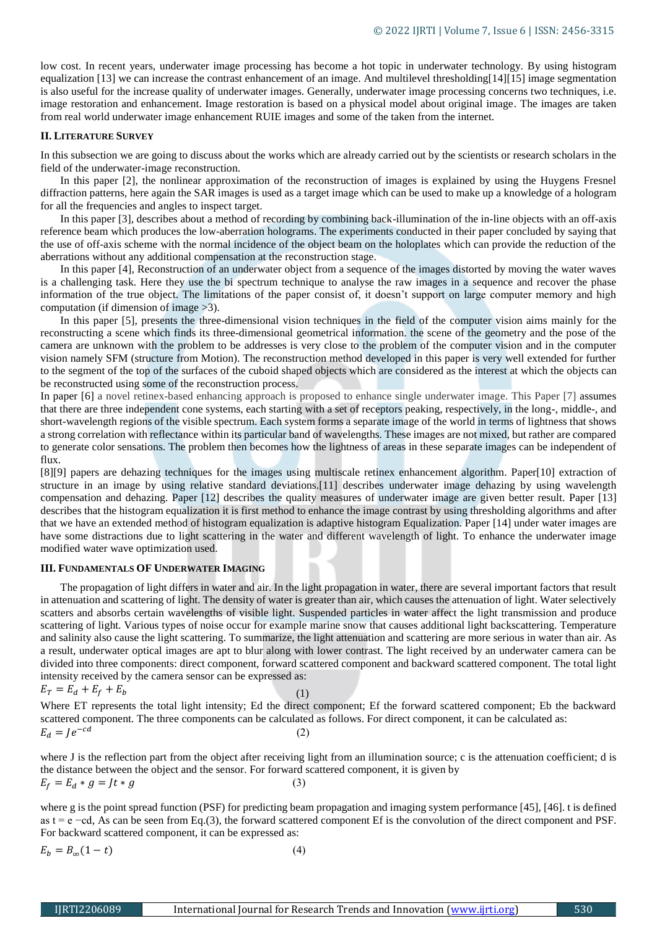low cost. In recent years, underwater image processing has become a hot topic in underwater technology. By using histogram equalization [13] we can increase the contrast enhancement of an image. And multilevel thresholding[14][15] image segmentation is also useful for the increase quality of underwater images. Generally, underwater image processing concerns two techniques, i.e. image restoration and enhancement. Image restoration is based on a physical model about original image. The images are taken from real world underwater image enhancement RUIE images and some of the taken from the internet.

### **II. LITERATURE SURVEY**

In this subsection we are going to discuss about the works which are already carried out by the scientists or research scholars in the field of the underwater-image reconstruction.

In this paper [2], the nonlinear approximation of the reconstruction of images is explained by using the Huygens Fresnel diffraction patterns, here again the SAR images is used as a target image which can be used to make up a knowledge of a hologram for all the frequencies and angles to inspect target.

In this paper [3], describes about a method of recording by combining back-illumination of the in-line objects with an off-axis reference beam which produces the low-aberration holograms. The experiments conducted in their paper concluded by saying that the use of off-axis scheme with the normal incidence of the object beam on the holoplates which can provide the reduction of the aberrations without any additional compensation at the reconstruction stage.

In this paper [4], Reconstruction of an underwater object from a sequence of the images distorted by moving the water waves is a challenging task. Here they use the bi spectrum technique to analyse the raw images in a sequence and recover the phase information of the true object. The limitations of the paper consist of, it doesn't support on large computer memory and high computation (if dimension of image >3).

In this paper [5], presents the three-dimensional vision techniques in the field of the computer vision aims mainly for the reconstructing a scene which finds its three-dimensional geometrical information. the scene of the geometry and the pose of the camera are unknown with the problem to be addresses is very close to the problem of the computer vision and in the computer vision namely SFM (structure from Motion). The reconstruction method developed in this paper is very well extended for further to the segment of the top of the surfaces of the cuboid shaped objects which are considered as the interest at which the objects can be reconstructed using some of the reconstruction process.

In paper [6] a novel retinex-based enhancing approach is proposed to enhance single underwater image. This Paper [7] assumes that there are three independent cone systems, each starting with a set of receptors peaking, respectively, in the long-, middle-, and short-wavelength regions of the visible spectrum. Each system forms a separate image of the world in terms of lightness that shows a strong correlation with reflectance within its particular band of wavelengths. These images are not mixed, but rather are compared to generate color sensations. The problem then becomes how the lightness of areas in these separate images can be independent of flux.

[8][9] papers are dehazing techniques for the images using multiscale retinex enhancement algorithm. Paper[10] extraction of structure in an image by using relative standard deviations.[11] describes underwater image dehazing by using wavelength compensation and dehazing. Paper [12] describes the quality measures of underwater image are given better result. Paper [13] describes that the histogram equalization it is first method to enhance the image contrast by using thresholding algorithms and after that we have an extended method of histogram equalization is adaptive histogram Equalization. Paper [14] under water images are have some distractions due to light scattering in the water and different wavelength of light. To enhance the underwater image modified water wave optimization used.

### **III. FUNDAMENTALS OF UNDERWATER IMAGING**

The propagation of light differs in water and air. In the light propagation in water, there are several important factors that result in attenuation and scattering of light. The density of water is greater than air, which causes the attenuation of light. Water selectively scatters and absorbs certain wavelengths of visible light. Suspended particles in water affect the light transmission and produce scattering of light. Various types of noise occur for example marine snow that causes additional light backscattering. Temperature and salinity also cause the light scattering. To summarize, the light attenuation and scattering are more serious in water than air. As a result, underwater optical images are apt to blur along with lower contrast. The light received by an underwater camera can be divided into three components: direct component, forward scattered component and backward scattered component. The total light intensity received by the camera sensor can be expressed as:

$$
E_T = E_d + E_f + E_b \tag{1}
$$

Where ET represents the total light intensity; Ed the direct component; Ef the forward scattered component; Eb the backward scattered component. The three components can be calculated as follows. For direct component, it can be calculated as:  $E_d = Je^{-cd}$ (2)

where J is the reflection part from the object after receiving light from an illumination source; c is the attenuation coefficient; d is the distance between the object and the sensor. For forward scattered component, it is given by  $E_f = E_d * g = Jt * g$  (3)

where g is the point spread function (PSF) for predicting beam propagation and imaging system performance [45], [46]. t is defined as t = e −cd, As can be seen from Eq.(3), the forward scattered component Ef is the convolution of the direct component and PSF. For backward scattered component, it can be expressed as:

$$
E_b = B_{\infty}(1 - t) \tag{4}
$$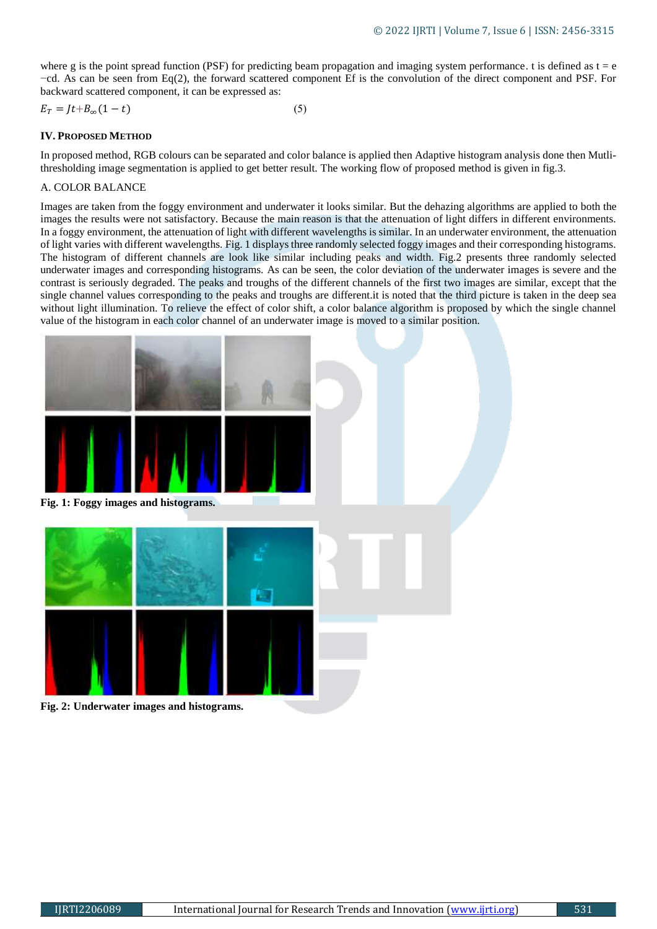where g is the point spread function (PSF) for predicting beam propagation and imaging system performance. t is defined as  $t = e$ −cd. As can be seen from Eq(2), the forward scattered component Ef is the convolution of the direct component and PSF. For backward scattered component, it can be expressed as:

$$
E_T = Jt + B_{\infty}(1 - t) \tag{5}
$$

# **IV. PROPOSED METHOD**

In proposed method, RGB colours can be separated and color balance is applied then Adaptive histogram analysis done then Mutlithresholding image segmentation is applied to get better result. The working flow of proposed method is given in fig.3.

# A. COLOR BALANCE

Images are taken from the foggy environment and underwater it looks similar. But the dehazing algorithms are applied to both the images the results were not satisfactory. Because the main reason is that the attenuation of light differs in different environments. In a foggy environment, the attenuation of light with different wavelengths is similar. In an underwater environment, the attenuation of light varies with different wavelengths. Fig. 1 displays three randomly selected foggy images and their corresponding histograms. The histogram of different channels are look like similar including peaks and width. Fig.2 presents three randomly selected underwater images and corresponding histograms. As can be seen, the color deviation of the underwater images is severe and the contrast is seriously degraded. The peaks and troughs of the different channels of the first two images are similar, except that the single channel values corresponding to the peaks and troughs are different.it is noted that the third picture is taken in the deep sea without light illumination. To relieve the effect of color shift, a color balance algorithm is proposed by which the single channel value of the histogram in each color channel of an underwater image is moved to a similar position.



**Fig. 1: Foggy images and histograms.**



**Fig. 2: Underwater images and histograms.**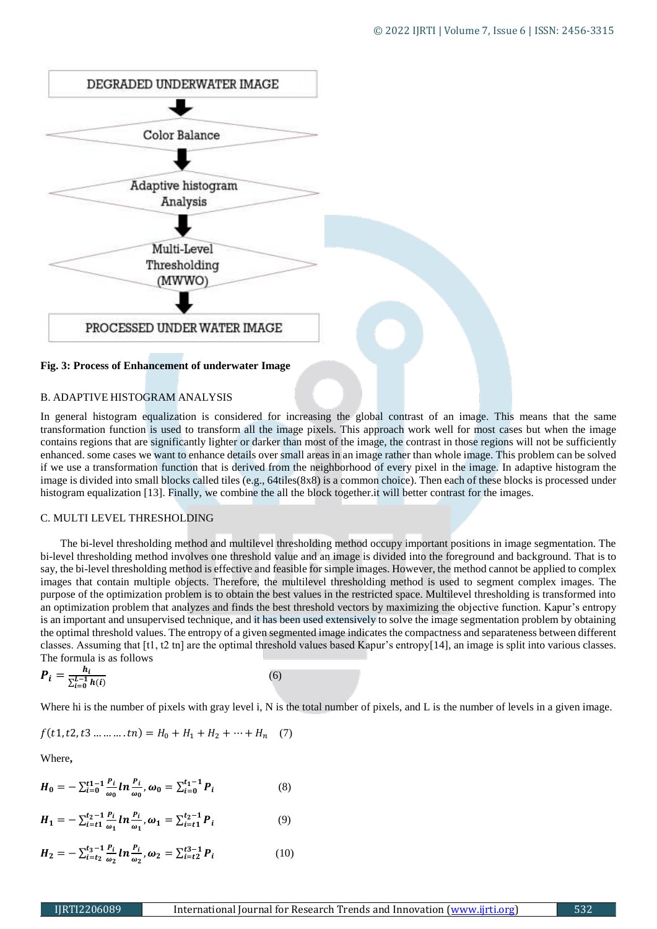

# **Fig. 3: Process of Enhancement of underwater Image**

# B. ADAPTIVE HISTOGRAM ANALYSIS

In general histogram equalization is considered for increasing the global contrast of an image. This means that the same transformation function is used to transform all the image pixels. This approach work well for most cases but when the image contains regions that are significantly lighter or darker than most of the image, the contrast in those regions will not be sufficiently enhanced. some cases we want to enhance details over small areas in an image rather than whole image. This problem can be solved if we use a transformation function that is derived from the neighborhood of every pixel in the image. In adaptive histogram the image is divided into small blocks called tiles (e.g., 64tiles(8x8) is a common choice). Then each of these blocks is processed under histogram equalization [13]. Finally, we combine the all the block together.it will better contrast for the images.

# C. MULTI LEVEL THRESHOLDING

The bi-level thresholding method and multilevel thresholding method occupy important positions in image segmentation. The bi-level thresholding method involves one threshold value and an image is divided into the foreground and background. That is to say, the bi-level thresholding method is effective and feasible for simple images. However, the method cannot be applied to complex images that contain multiple objects. Therefore, the multilevel thresholding method is used to segment complex images. The purpose of the optimization problem is to obtain the best values in the restricted space. Multilevel thresholding is transformed into an optimization problem that analyzes and finds the best threshold vectors by maximizing the objective function. Kapur's entropy is an important and unsupervised technique, and it has been used extensively to solve the image segmentation problem by obtaining the optimal threshold values. The entropy of a given segmented image indicates the compactness and separateness between different classes. Assuming that [t1, t2 tn] are the optimal threshold values based Kapur's entropy[14], an image is split into various classes. The formula is as follows

$$
\boldsymbol{P}_i = \frac{h_i}{\sum_{i=0}^{L-1} h(i)}\tag{6}
$$

Where hi is the number of pixels with gray level i, N is the total number of pixels, and L is the number of levels in a given image.

$$
f(t1, t2, t3 \dots \dots \dots t n) = H_0 + H_1 + H_2 + \dots + H_n \quad (7)
$$

Where**,**

$$
H_0 = -\sum_{i=0}^{t} \frac{P_i}{\omega_0} ln \frac{P_i}{\omega_0}, \omega_0 = \sum_{i=0}^{t} P_i
$$
 (8)

$$
H_1 = -\sum_{i=t_1}^{t_2-1} \frac{P_i}{\omega_1} ln \frac{P_i}{\omega_1}, \omega_1 = \sum_{i=t_1}^{t_2-1} P_i
$$
 (9)

$$
H_2 = -\sum_{i=t_2}^{t_3-1} \frac{P_i}{\omega_2} \ln \frac{P_i}{\omega_2}, \omega_2 = \sum_{i=t_2}^{t_3-1} P_i \tag{10}
$$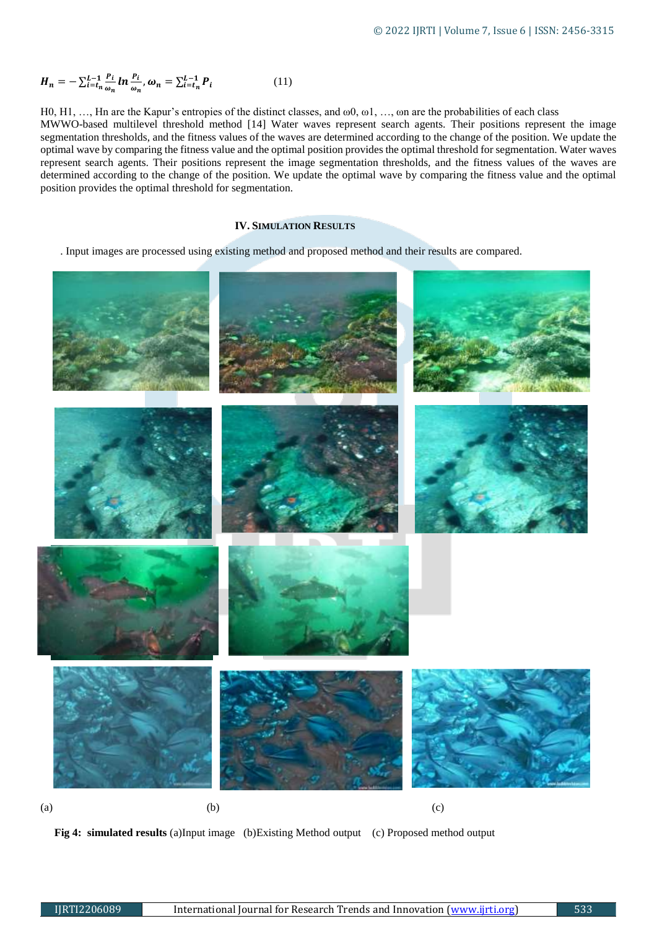$$
H_n = -\sum_{i=t_n}^{L-1} \frac{P_i}{\omega_n} \ln \frac{P_i}{\omega_n}, \omega_n = \sum_{i=t_n}^{L-1} P_i \tag{11}
$$

H0, H1, …, Hn are the Kapur's entropies of the distinct classes, and ω0, ω1, …, ωn are the probabilities of each class MWWO-based multilevel threshold method [14] Water waves represent search agents. Their positions represent the image segmentation thresholds, and the fitness values of the waves are determined according to the change of the position. We update the optimal wave by comparing the fitness value and the optimal position provides the optimal threshold for segmentation. Water waves represent search agents. Their positions represent the image segmentation thresholds, and the fitness values of the waves are determined according to the change of the position. We update the optimal wave by comparing the fitness value and the optimal position provides the optimal threshold for segmentation.

# **IV. SIMULATION RESULTS**

. Input images are processed using existing method and proposed method and their results are compared.



 **Fig 4: simulated results** (a)Input image (b)Existing Method output (c) Proposed method output